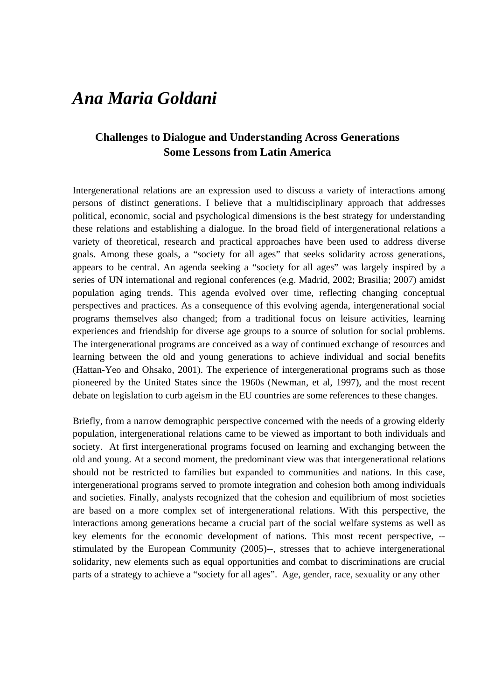# *Ana Maria Goldani*

# **Challenges to Dialogue and Understanding Across Generations Some Lessons from Latin America**

Intergenerational relations are an expression used to discuss a variety of interactions among persons of distinct generations. I believe that a multidisciplinary approach that addresses political, economic, social and psychological dimensions is the best strategy for understanding these relations and establishing a dialogue. In the broad field of intergenerational relations a variety of theoretical, research and practical approaches have been used to address diverse goals. Among these goals, a "society for all ages" that seeks solidarity across generations, appears to be central. An agenda seeking a "society for all ages" was largely inspired by a series of UN international and regional conferences (e.g. Madrid, 2002; Brasilia; 2007) amidst population aging trends. This agenda evolved over time, reflecting changing conceptual perspectives and practices. As a consequence of this evolving agenda, intergenerational social programs themselves also changed; from a traditional focus on leisure activities, learning experiences and friendship for diverse age groups to a source of solution for social problems. The intergenerational programs are conceived as a way of continued exchange of resources and learning between the old and young generations to achieve individual and social benefits (Hattan-Yeo and Ohsako, 2001). The experience of intergenerational programs such as those pioneered by the United States since the 1960s (Newman, et al, 1997), and the most recent debate on legislation to curb ageism in the EU countries are some references to these changes.

Briefly, from a narrow demographic perspective concerned with the needs of a growing elderly population, intergenerational relations came to be viewed as important to both individuals and society. At first intergenerational programs focused on learning and exchanging between the old and young. At a second moment, the predominant view was that intergenerational relations should not be restricted to families but expanded to communities and nations. In this case, intergenerational programs served to promote integration and cohesion both among individuals and societies. Finally, analysts recognized that the cohesion and equilibrium of most societies are based on a more complex set of intergenerational relations. With this perspective, the interactions among generations became a crucial part of the social welfare systems as well as key elements for the economic development of nations. This most recent perspective, - stimulated by the European Community (2005)--, stresses that to achieve intergenerational solidarity, new elements such as equal opportunities and combat to discriminations are crucial parts of a strategy to achieve a "society for all ages". Age, gender, race, sexuality or any other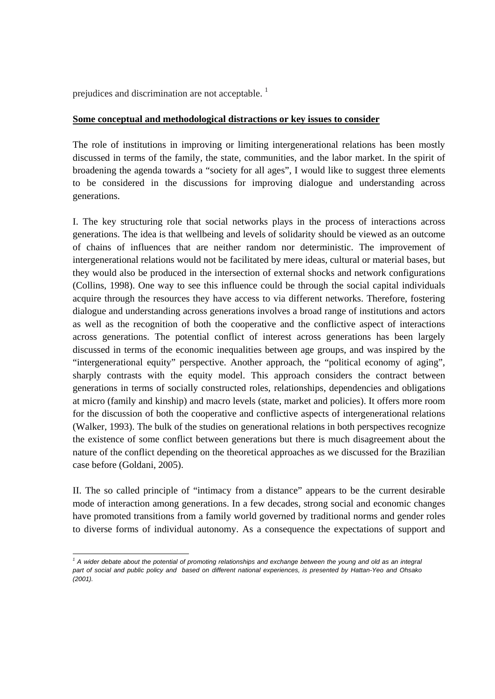prejudices and discrimination are not acceptable.

#### **Some conceptual and methodological distractions or key issues to consider**

The role of institutions in improving or limiting intergenerational relations has been mostly discussed in terms of the family, the state, communities, and the labor market. In the spirit of broadening the agenda towards a "society for all ages", I would like to suggest three elements to be considered in the discussions for improving dialogue and understanding across generations.

I. The key structuring role that social networks plays in the process of interactions across generations. The idea is that wellbeing and levels of solidarity should be viewed as an outcome of chains of influences that are neither random nor deterministic. The improvement of intergenerational relations would not be facilitated by mere ideas, cultural or material bases, but they would also be produced in the intersection of external shocks and network configurations (Collins, 1998). One way to see this influence could be through the social capital individuals acquire through the resources they have access to via different networks. Therefore, fostering dialogue and understanding across generations involves a broad range of institutions and actors as well as the recognition of both the cooperative and the conflictive aspect of interactions across generations. The potential conflict of interest across generations has been largely discussed in terms of the economic inequalities between age groups, and was inspired by the "intergenerational equity" perspective. Another approach, the "political economy of aging", sharply contrasts with the equity model. This approach considers the contract between generations in terms of socially constructed roles, relationships, dependencies and obligations at micro (family and kinship) and macro levels (state, market and policies). It offers more room for the discussion of both the cooperative and conflictive aspects of intergenerational relations (Walker, 1993). The bulk of the studies on generational relations in both perspectives recognize the existence of some conflict between generations but there is much disagreement about the nature of the conflict depending on the theoretical approaches as we discussed for the Brazilian case before (Goldani, 2005).

II. The so called principle of "intimacy from a distance" appears to be the current desirable mode of interaction among generations. In a few decades, strong social and economic changes have promoted transitions from a family world governed by traditional norms and gender roles to diverse forms of individual autonomy. As a consequence the expectations of support and

<sup>&</sup>lt;u> 1989 - Jan Samuel Barbara, politik eta politik eta politik eta politik eta politik eta politik eta politik e</u> <sup>1</sup> A wider debate about the potential of promoting relationships and exchange between the young and old as an integral *part of social and public policy and based on different national experiences, is presented by Hattan-Yeo and Ohsako (2001).*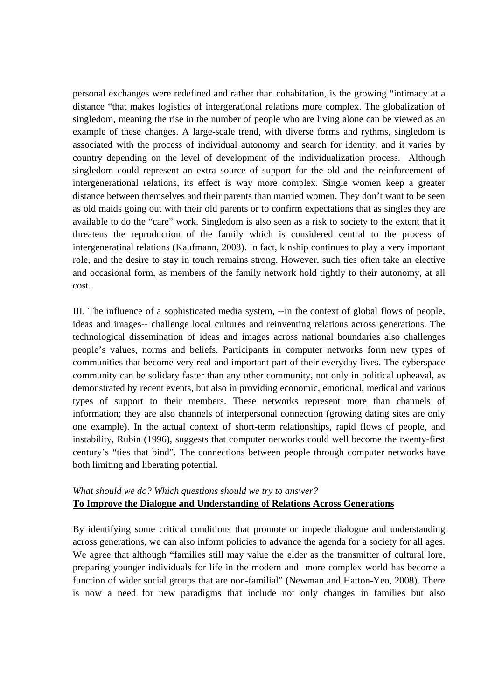personal exchanges were redefined and rather than cohabitation, is the growing "intimacy at a distance "that makes logistics of intergerational relations more complex. The globalization of singledom, meaning the rise in the number of people who are living alone can be viewed as an example of these changes. A large-scale trend, with diverse forms and rythms, singledom is associated with the process of individual autonomy and search for identity, and it varies by country depending on the level of development of the individualization process. Although singledom could represent an extra source of support for the old and the reinforcement of intergenerational relations, its effect is way more complex. Single women keep a greater distance between themselves and their parents than married women. They don't want to be seen as old maids going out with their old parents or to confirm expectations that as singles they are available to do the "care" work. Singledom is also seen as a risk to society to the extent that it threatens the reproduction of the family which is considered central to the process of intergeneratinal relations (Kaufmann, 2008). In fact, kinship continues to play a very important role, and the desire to stay in touch remains strong. However, such ties often take an elective and occasional form, as members of the family network hold tightly to their autonomy, at all cost.

III. The influence of a sophisticated media system, --in the context of global flows of people, ideas and images-- challenge local cultures and reinventing relations across generations. The technological dissemination of ideas and images across national boundaries also challenges people's values, norms and beliefs. Participants in computer networks form new types of communities that become very real and important part of their everyday lives. The cyberspace community can be solidary faster than any other community, not only in political upheaval, as demonstrated by recent events, but also in providing economic, emotional, medical and various types of support to their members. These networks represent more than channels of information; they are also channels of interpersonal connection (growing dating sites are only one example). In the actual context of short-term relationships, rapid flows of people, and instability, Rubin (1996), suggests that computer networks could well become the twenty-first century's "ties that bind". The connections between people through computer networks have both limiting and liberating potential.

### *What should we do? Which questions should we try to answer?*  **To Improve the Dialogue and Understanding of Relations Across Generations**

By identifying some critical conditions that promote or impede dialogue and understanding across generations, we can also inform policies to advance the agenda for a society for all ages. We agree that although "families still may value the elder as the transmitter of cultural lore, preparing younger individuals for life in the modern and more complex world has become a function of wider social groups that are non-familial" (Newman and Hatton-Yeo, 2008). There is now a need for new paradigms that include not only changes in families but also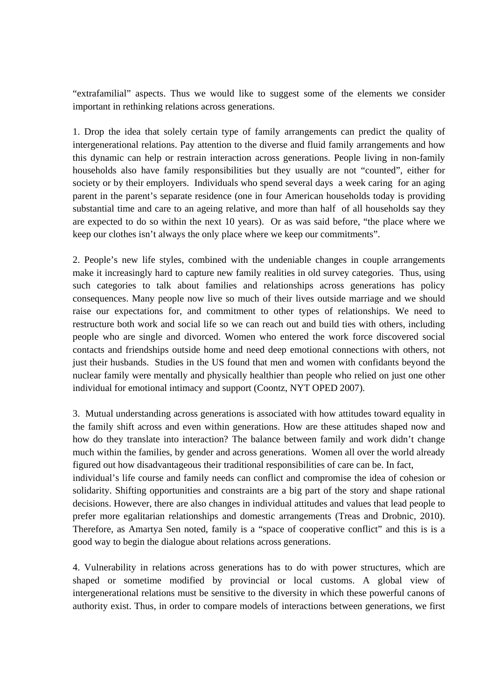"extrafamilial" aspects. Thus we would like to suggest some of the elements we consider important in rethinking relations across generations.

1. Drop the idea that solely certain type of family arrangements can predict the quality of intergenerational relations. Pay attention to the diverse and fluid family arrangements and how this dynamic can help or restrain interaction across generations. People living in non-family households also have family responsibilities but they usually are not "counted", either for society or by their employers. Individuals who spend several days a week caring for an aging parent in the parent's separate residence (one in four American households today is providing substantial time and care to an ageing relative, and more than half of all households say they are expected to do so within the next 10 years). Or as was said before, "the place where we keep our clothes isn't always the only place where we keep our commitments".

2. People's new life styles, combined with the undeniable changes in couple arrangements make it increasingly hard to capture new family realities in old survey categories. Thus, using such categories to talk about families and relationships across generations has policy consequences. Many people now live so much of their lives outside marriage and we should raise our expectations for, and commitment to other types of relationships. We need to restructure both work and social life so we can reach out and build ties with others, including people who are single and divorced. Women who entered the work force discovered social contacts and friendships outside home and need deep emotional connections with others, not just their husbands. Studies in the US found that men and women with confidants beyond the nuclear family were mentally and physically healthier than people who relied on just one other individual for emotional intimacy and support (Coontz, NYT OPED 2007).

3. Mutual understanding across generations is associated with how attitudes toward equality in the family shift across and even within generations. How are these attitudes shaped now and how do they translate into interaction? The balance between family and work didn't change much within the families, by gender and across generations. Women all over the world already figured out how disadvantageous their traditional responsibilities of care can be. In fact,

individual's life course and family needs can conflict and compromise the idea of cohesion or solidarity. Shifting opportunities and constraints are a big part of the story and shape rational decisions. However, there are also changes in individual attitudes and values that lead people to prefer more egalitarian relationships and domestic arrangements (Treas and Drobnic, 2010). Therefore, as Amartya Sen noted, family is a "space of cooperative conflict" and this is is a good way to begin the dialogue about relations across generations.

4. Vulnerability in relations across generations has to do with power structures, which are shaped or sometime modified by provincial or local customs. A global view of intergenerational relations must be sensitive to the diversity in which these powerful canons of authority exist. Thus, in order to compare models of interactions between generations, we first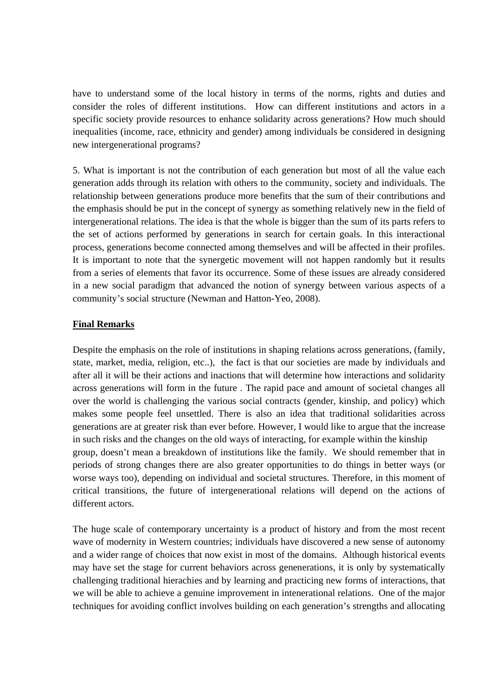have to understand some of the local history in terms of the norms, rights and duties and consider the roles of different institutions. How can different institutions and actors in a specific society provide resources to enhance solidarity across generations? How much should inequalities (income, race, ethnicity and gender) among individuals be considered in designing new intergenerational programs?

5. What is important is not the contribution of each generation but most of all the value each generation adds through its relation with others to the community, society and individuals. The relationship between generations produce more benefits that the sum of their contributions and the emphasis should be put in the concept of synergy as something relatively new in the field of intergenerational relations. The idea is that the whole is bigger than the sum of its parts refers to the set of actions performed by generations in search for certain goals. In this interactional process, generations become connected among themselves and will be affected in their profiles. It is important to note that the synergetic movement will not happen randomly but it results from a series of elements that favor its occurrence. Some of these issues are already considered in a new social paradigm that advanced the notion of synergy between various aspects of a community's social structure (Newman and Hatton-Yeo, 2008).

#### **Final Remarks**

Despite the emphasis on the role of institutions in shaping relations across generations, (family, state, market, media, religion, etc..), the fact is that our societies are made by individuals and after all it will be their actions and inactions that will determine how interactions and solidarity across generations will form in the future . The rapid pace and amount of societal changes all over the world is challenging the various social contracts (gender, kinship, and policy) which makes some people feel unsettled. There is also an idea that traditional solidarities across generations are at greater risk than ever before. However, I would like to argue that the increase in such risks and the changes on the old ways of interacting, for example within the kinship group, doesn't mean a breakdown of institutions like the family. We should remember that in periods of strong changes there are also greater opportunities to do things in better ways (or worse ways too), depending on individual and societal structures. Therefore, in this moment of critical transitions, the future of intergenerational relations will depend on the actions of different actors.

The huge scale of contemporary uncertainty is a product of history and from the most recent wave of modernity in Western countries; individuals have discovered a new sense of autonomy and a wider range of choices that now exist in most of the domains. Although historical events may have set the stage for current behaviors across genenerations, it is only by systematically challenging traditional hierachies and by learning and practicing new forms of interactions, that we will be able to achieve a genuine improvement in intenerational relations. One of the major techniques for avoiding conflict involves building on each generation's strengths and allocating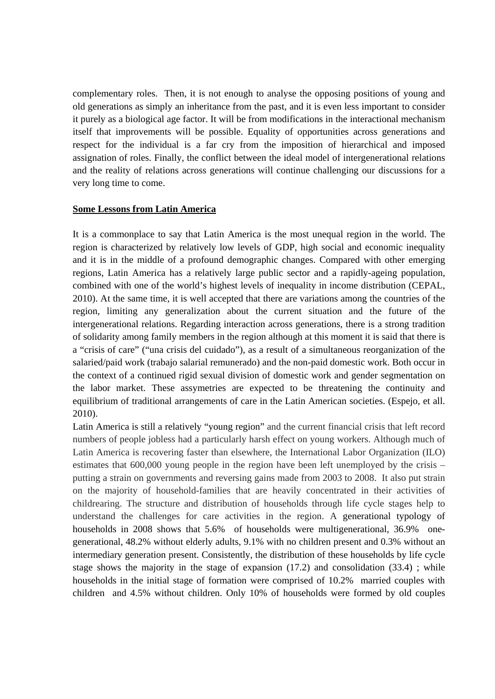complementary roles. Then, it is not enough to analyse the opposing positions of young and old generations as simply an inheritance from the past, and it is even less important to consider it purely as a biological age factor. It will be from modifications in the interactional mechanism itself that improvements will be possible. Equality of opportunities across generations and respect for the individual is a far cry from the imposition of hierarchical and imposed assignation of roles. Finally, the conflict between the ideal model of intergenerational relations and the reality of relations across generations will continue challenging our discussions for a very long time to come.

#### **Some Lessons from Latin America**

It is a commonplace to say that Latin America is the most unequal region in the world. The region is characterized by relatively low levels of GDP, high social and economic inequality and it is in the middle of a profound demographic changes. Compared with other emerging regions, Latin America has a relatively large public sector and a rapidly-ageing population, combined with one of the world's highest levels of inequality in income distribution (CEPAL, 2010). At the same time, it is well accepted that there are variations among the countries of the region, limiting any generalization about the current situation and the future of the intergenerational relations. Regarding interaction across generations, there is a strong tradition of solidarity among family members in the region although at this moment it is said that there is a "crisis of care" ("una crisis del cuidado"), as a result of a simultaneous reorganization of the salaried/paid work (trabajo salarial remunerado) and the non-paid domestic work. Both occur in the context of a continued rigid sexual division of domestic work and gender segmentation on the labor market. These assymetries are expected to be threatening the continuity and equilibrium of traditional arrangements of care in the Latin American societies. (Espejo, et all. 2010).

Latin America is still a relatively "young region" and the current financial crisis that left record numbers of people jobless had a particularly harsh effect on young workers. Although much of Latin America is recovering faster than elsewhere, the International Labor Organization (ILO) estimates that 600,000 young people in the region have been left unemployed by the crisis – putting a strain on governments and reversing gains made from 2003 to 2008. It also put strain on the majority of household-families that are heavily concentrated in their activities of childrearing. The structure and distribution of households through life cycle stages help to understand the challenges for care activities in the region. A generational typology of households in 2008 shows that 5.6% of households were multigenerational, 36.9% onegenerational, 48.2% without elderly adults, 9.1% with no children present and 0.3% without an intermediary generation present. Consistently, the distribution of these households by life cycle stage shows the majority in the stage of expansion (17.2) and consolidation (33.4) ; while households in the initial stage of formation were comprised of 10.2% married couples with children and 4.5% without children. Only 10% of households were formed by old couples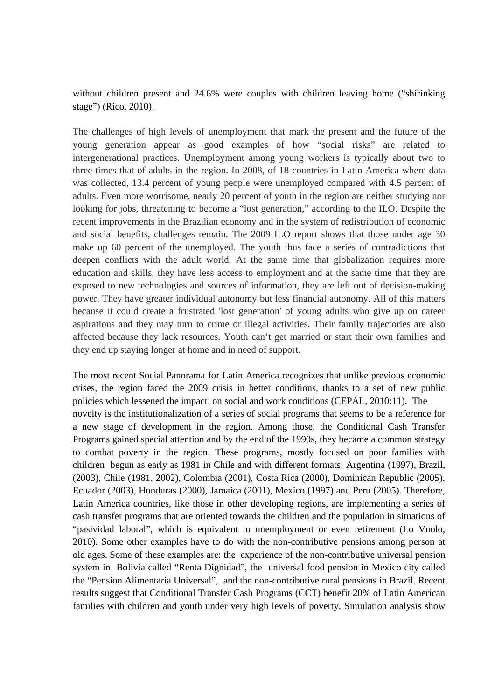without children present and 24.6% were couples with children leaving home ("shirinking stage") (Rico, 2010).

The challenges of high levels of unemployment that mark the present and the future of the young generation appear as good examples of how "social risks" are related to intergenerational practices. Unemployment among young workers is typically about two to three times that of adults in the region. In 2008, of 18 countries in Latin America where data was collected, 13.4 percent of young people were unemployed compared with 4.5 percent of adults. Even more worrisome, nearly 20 percent of youth in the region are neither studying nor looking for jobs, threatening to become a "lost generation," according to the ILO. Despite the recent improvements in the Brazilian economy and in the system of redistribution of economic and social benefits, challenges remain. The 2009 ILO report shows that those under age 30 make up 60 percent of the unemployed. The youth thus face a series of contradictions that deepen conflicts with the adult world. At the same time that globalization requires more education and skills, they have less access to employment and at the same time that they are exposed to new technologies and sources of information, they are left out of decision-making power. They have greater individual autonomy but less financial autonomy. All of this matters because it could create a frustrated 'lost generation' of young adults who give up on career aspirations and they may turn to crime or illegal activities. Their family trajectories are also affected because they lack resources. Youth can't get married or start their own families and they end up staying longer at home and in need of support.

The most recent Social Panorama for Latin America recognizes that unlike previous economic crises, the region faced the 2009 crisis in better conditions, thanks to a set of new public policies which lessened the impact on social and work conditions (CEPAL, 2010:11). The novelty is the institutionalization of a series of social programs that seems to be a reference for a new stage of development in the region. Among those, the Conditional Cash Transfer Programs gained special attention and by the end of the 1990s, they became a common strategy to combat poverty in the region. These programs, mostly focused on poor families with children begun as early as 1981 in Chile and with different formats: Argentina (1997), Brazil, (2003), Chile (1981, 2002), Colombia (2001), Costa Rica (2000), Dominican Republic (2005), Ecuador (2003), Honduras (2000), Jamaica (2001), Mexico (1997) and Peru (2005). Therefore, Latin America countries, like those in other developing regions, are implementing a series of cash transfer programs that are oriented towards the children and the population in situations of "pasividad laboral", which is equivalent to unemployment or even retirement (Lo Vuolo, 2010). Some other examples have to do with the non-contributive pensions among person at old ages. Some of these examples are: the experience of the non-contributive universal pension system in Bolivia called "Renta Dignidad", the universal food pension in Mexico city called the "Pension Alimentaria Universal", and the non-contributive rural pensions in Brazil. Recent results suggest that Conditional Transfer Cash Programs (CCT) benefit 20% of Latin American families with children and youth under very high levels of poverty. Simulation analysis show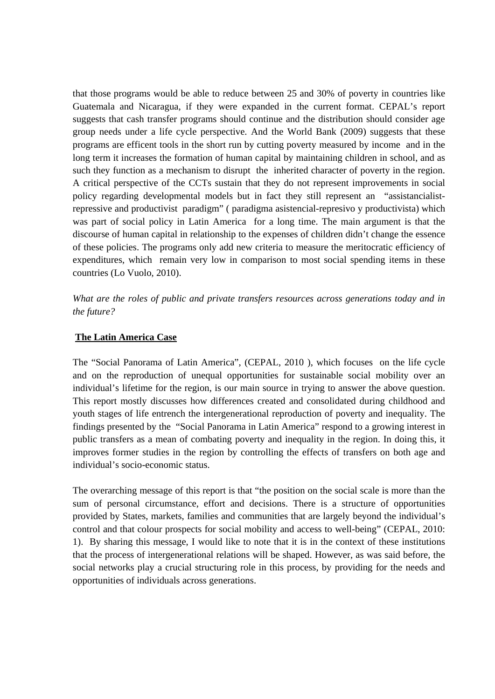that those programs would be able to reduce between 25 and 30% of poverty in countries like Guatemala and Nicaragua, if they were expanded in the current format. CEPAL's report suggests that cash transfer programs should continue and the distribution should consider age group needs under a life cycle perspective. And the World Bank (2009) suggests that these programs are efficent tools in the short run by cutting poverty measured by income and in the long term it increases the formation of human capital by maintaining children in school, and as such they function as a mechanism to disrupt the inherited character of poverty in the region. A critical perspective of the CCTs sustain that they do not represent improvements in social policy regarding developmental models but in fact they still represent an "assistancialistrepressive and productivist paradigm" ( paradigma asistencial-represivo y productivista) which was part of social policy in Latin America for a long time. The main argument is that the discourse of human capital in relationship to the expenses of children didn't change the essence of these policies. The programs only add new criteria to measure the meritocratic efficiency of expenditures, which remain very low in comparison to most social spending items in these countries (Lo Vuolo, 2010).

*What are the roles of public and private transfers resources across generations today and in the future?* 

#### **The Latin America Case**

The "Social Panorama of Latin America", (CEPAL, 2010 ), which focuses on the life cycle and on the reproduction of unequal opportunities for sustainable social mobility over an individual's lifetime for the region, is our main source in trying to answer the above question. This report mostly discusses how differences created and consolidated during childhood and youth stages of life entrench the intergenerational reproduction of poverty and inequality. The findings presented by the "Social Panorama in Latin America" respond to a growing interest in public transfers as a mean of combating poverty and inequality in the region. In doing this, it improves former studies in the region by controlling the effects of transfers on both age and individual's socio-economic status.

The overarching message of this report is that "the position on the social scale is more than the sum of personal circumstance, effort and decisions. There is a structure of opportunities provided by States, markets, families and communities that are largely beyond the individual's control and that colour prospects for social mobility and access to well-being" (CEPAL, 2010: 1). By sharing this message, I would like to note that it is in the context of these institutions that the process of intergenerational relations will be shaped. However, as was said before, the social networks play a crucial structuring role in this process, by providing for the needs and opportunities of individuals across generations.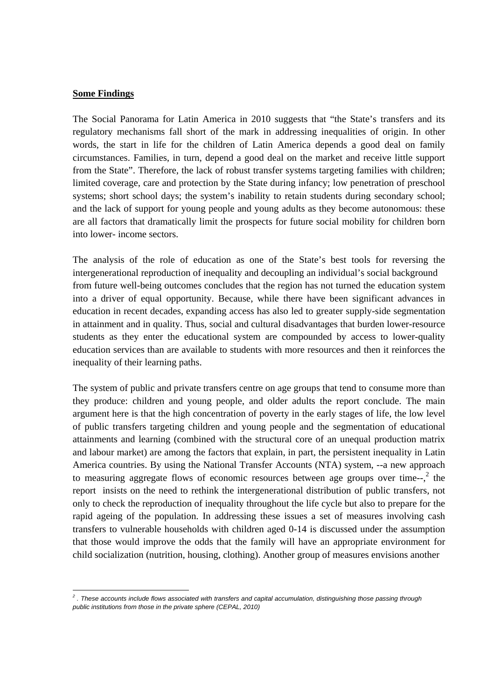#### **Some Findings**

The Social Panorama for Latin America in 2010 suggests that "the State's transfers and its regulatory mechanisms fall short of the mark in addressing inequalities of origin. In other words, the start in life for the children of Latin America depends a good deal on family circumstances. Families, in turn, depend a good deal on the market and receive little support from the State". Therefore, the lack of robust transfer systems targeting families with children; limited coverage, care and protection by the State during infancy; low penetration of preschool systems; short school days; the system's inability to retain students during secondary school; and the lack of support for young people and young adults as they become autonomous: these are all factors that dramatically limit the prospects for future social mobility for children born into lower- income sectors.

The analysis of the role of education as one of the State's best tools for reversing the intergenerational reproduction of inequality and decoupling an individual's social background from future well-being outcomes concludes that the region has not turned the education system into a driver of equal opportunity. Because, while there have been significant advances in education in recent decades, expanding access has also led to greater supply-side segmentation in attainment and in quality. Thus, social and cultural disadvantages that burden lower-resource students as they enter the educational system are compounded by access to lower-quality education services than are available to students with more resources and then it reinforces the inequality of their learning paths.

The system of public and private transfers centre on age groups that tend to consume more than they produce: children and young people, and older adults the report conclude. The main argument here is that the high concentration of poverty in the early stages of life, the low level of public transfers targeting children and young people and the segmentation of educational attainments and learning (combined with the structural core of an unequal production matrix and labour market) are among the factors that explain, in part, the persistent inequality in Latin America countries. By using the National Transfer Accounts (NTA) system, --a new approach to measuring aggregate flows of economic resources between age groups over time- $\cdot$ , the report insists on the need to rethink the intergenerational distribution of public transfers, not only to check the reproduction of inequality throughout the life cycle but also to prepare for the rapid ageing of the population. In addressing these issues a set of measures involving cash transfers to vulnerable households with children aged 0-14 is discussed under the assumption that those would improve the odds that the family will have an appropriate environment for child socialization (nutrition, housing, clothing). Another group of measures envisions another

 *2 . These accounts include flows associated with transfers and capital accumulation, distinguishing those passing through public institutions from those in the private sphere (CEPAL, 2010)*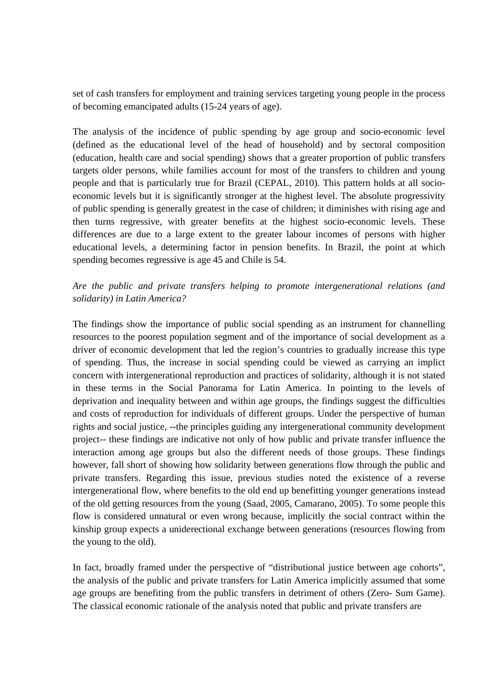set of cash transfers for employment and training services targeting young people in the process of becoming emancipated adults (15-24 years of age).

The analysis of the incidence of public spending by age group and socio-economic level (defined as the educational level of the head of household) and by sectoral composition (education, health care and social spending) shows that a greater proportion of public transfers targets older persons, while families account for most of the transfers to children and young people and that is particularly true for Brazil (CEPAL, 2010). This pattern holds at all socioeconomic levels but it is significantly stronger at the highest level. The absolute progressivity of public spending is generally greatest in the case of children; it diminishes with rising age and then turns regressive, with greater benefits at the highest socio-economic levels. These differences are due to a large extent to the greater labour incomes of persons with higher educational levels, a determining factor in pension benefits. In Brazil, the point at which spending becomes regressive is age 45 and Chile is 54.

## *Are the public and private transfers helping to promote intergenerational relations (and solidarity) in Latin America?*

The findings show the importance of public social spending as an instrument for channelling resources to the poorest population segment and of the importance of social development as a driver of economic development that led the region's countries to gradually increase this type of spending. Thus, the increase in social spending could be viewed as carrying an implict concern with intergenerational reproduction and practices of solidarity, although it is not stated in these terms in the Social Panorama for Latin America. In pointing to the levels of deprivation and inequality between and within age groups, the findings suggest the difficulties and costs of reproduction for individuals of different groups. Under the perspective of human rights and social justice, --the principles guiding any intergenerational community development project-- these findings are indicative not only of how public and private transfer influence the interaction among age groups but also the different needs of those groups. These findings however, fall short of showing how solidarity between generations flow through the public and private transfers. Regarding this issue, previous studies noted the existence of a reverse intergenerational flow, where benefits to the old end up benefitting younger generations instead of the old getting resources from the young (Saad, 2005, Camarano, 2005). To some people this flow is considered unnatural or even wrong because, implicitly the social contract within the kinship group expects a uniderectional exchange between generations (resources flowing from the young to the old).

In fact, broadly framed under the perspective of "distributional justice between age cohorts", the analysis of the public and private transfers for Latin America implicitly assumed that some age groups are benefiting from the public transfers in detriment of others (Zero- Sum Game). The classical economic rationale of the analysis noted that public and private transfers are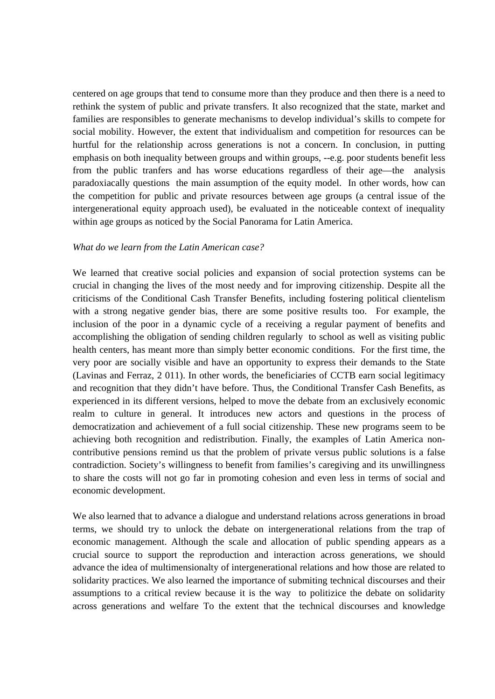centered on age groups that tend to consume more than they produce and then there is a need to rethink the system of public and private transfers. It also recognized that the state, market and families are responsibles to generate mechanisms to develop individual's skills to compete for social mobility. However, the extent that individualism and competition for resources can be hurtful for the relationship across generations is not a concern. In conclusion, in putting emphasis on both inequality between groups and within groups, --e.g. poor students benefit less from the public tranfers and has worse educations regardless of their age—the analysis paradoxiacally questions the main assumption of the equity model. In other words, how can the competition for public and private resources between age groups (a central issue of the intergenerational equity approach used), be evaluated in the noticeable context of inequality within age groups as noticed by the Social Panorama for Latin America.

#### *What do we learn from the Latin American case?*

We learned that creative social policies and expansion of social protection systems can be crucial in changing the lives of the most needy and for improving citizenship. Despite all the criticisms of the Conditional Cash Transfer Benefits, including fostering political clientelism with a strong negative gender bias, there are some positive results too. For example, the inclusion of the poor in a dynamic cycle of a receiving a regular payment of benefits and accomplishing the obligation of sending children regularly to school as well as visiting public health centers, has meant more than simply better economic conditions. For the first time, the very poor are socially visible and have an opportunity to express their demands to the State (Lavinas and Ferraz, 2 011). In other words, the beneficiaries of CCTB earn social legitimacy and recognition that they didn't have before. Thus, the Conditional Transfer Cash Benefits, as experienced in its different versions, helped to move the debate from an exclusively economic realm to culture in general. It introduces new actors and questions in the process of democratization and achievement of a full social citizenship. These new programs seem to be achieving both recognition and redistribution. Finally, the examples of Latin America noncontributive pensions remind us that the problem of private versus public solutions is a false contradiction. Society's willingness to benefit from families's caregiving and its unwillingness to share the costs will not go far in promoting cohesion and even less in terms of social and economic development.

We also learned that to advance a dialogue and understand relations across generations in broad terms, we should try to unlock the debate on intergenerational relations from the trap of economic management. Although the scale and allocation of public spending appears as a crucial source to support the reproduction and interaction across generations, we should advance the idea of multimensionalty of intergenerational relations and how those are related to solidarity practices. We also learned the importance of submiting technical discourses and their assumptions to a critical review because it is the way to politizice the debate on solidarity across generations and welfare To the extent that the technical discourses and knowledge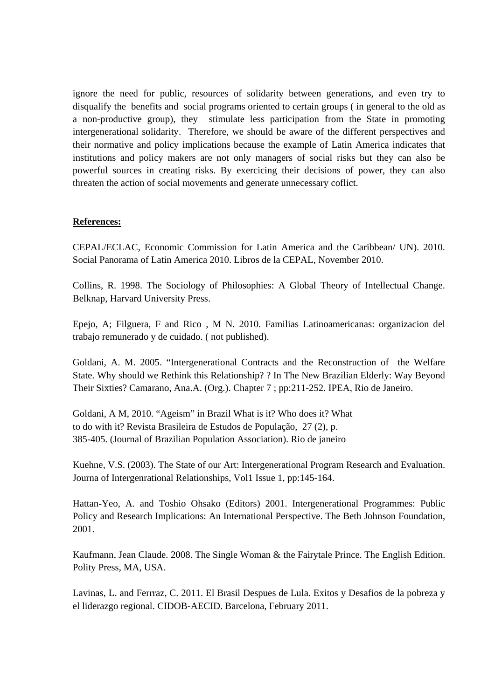ignore the need for public, resources of solidarity between generations, and even try to disqualify the benefits and social programs oriented to certain groups ( in general to the old as a non-productive group), they stimulate less participation from the State in promoting intergenerational solidarity. Therefore, we should be aware of the different perspectives and their normative and policy implications because the example of Latin America indicates that institutions and policy makers are not only managers of social risks but they can also be powerful sources in creating risks. By exercicing their decisions of power, they can also threaten the action of social movements and generate unnecessary coflict.

#### **References:**

CEPAL/ECLAC, Economic Commission for Latin America and the Caribbean/ UN). 2010. Social Panorama of Latin America 2010. Libros de la CEPAL, November 2010.

Collins, R. 1998. The Sociology of Philosophies: A Global Theory of Intellectual Change. Belknap, Harvard University Press.

Epejo, A; Filguera, F and Rico , M N. 2010. Familias Latinoamericanas: organizacion del trabajo remunerado y de cuidado. ( not published).

Goldani, A. M. 2005. "Intergenerational Contracts and the Reconstruction of the Welfare State. Why should we Rethink this Relationship? ? In The New Brazilian Elderly: Way Beyond Their Sixties? Camarano, Ana.A. (Org.). Chapter 7 ; pp:211-252. IPEA, Rio de Janeiro.

Goldani, A M, 2010. "Ageism" in Brazil What is it? Who does it? What to do with it? Revista Brasileira de Estudos de População, 27 (2), p. 385-405. (Journal of Brazilian Population Association). Rio de janeiro

Kuehne, V.S. (2003). The State of our Art: Intergenerational Program Research and Evaluation. Journa of Intergenrational Relationships, Vol1 Issue 1, pp:145-164.

Hattan-Yeo, A. and Toshio Ohsako (Editors) 2001. Intergenerational Programmes: Public Policy and Research Implications: An International Perspective. The Beth Johnson Foundation, 2001.

Kaufmann, Jean Claude. 2008. The Single Woman & the Fairytale Prince. The English Edition. Polity Press, MA, USA.

Lavinas, L. and Ferrraz, C. 2011. El Brasil Despues de Lula. Exitos y Desafios de la pobreza y el liderazgo regional. CIDOB-AECID. Barcelona, February 2011.